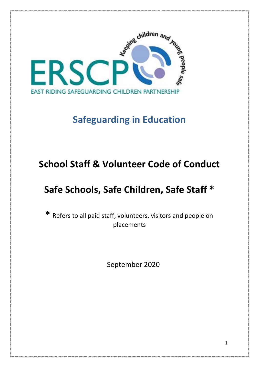

# **Safeguarding in Education**

# **School Staff & Volunteer Code of Conduct**

# **Safe Schools, Safe Children, Safe Staff \***

**\*** Refers to all paid staff, volunteers, visitors and people on placements

September 2020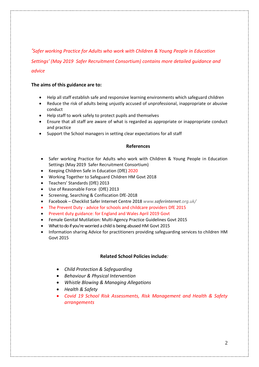*'Safer working Practice for Adults who work with Children & Young People in Education* 

*Settings' (May 2019 Safer Recruitment Consortium) contains more detailed guidance and advice*

# **The aims of this guidance are to:**

- Help all staff establish safe and responsive learning environments which safeguard children
- Reduce the risk of adults being unjustly accused of unprofessional, inappropriate or abusive conduct
- Help staff to work safely to protect pupils and themselves
- Ensure that all staff are aware of what is regarded as appropriate or inappropriate conduct and practice
- Support the School managers in setting clear expectations for all staff

## **References**

- Safer working Practice for Adults who work with Children & Young People in Education Settings (May 2019 Safer Recruitment Consortium)
- Keeping Children Safe in Education (DfE) 2020
- Working Together to Safeguard Children HM Govt 2018
- Teachers' Standards (DfE) 2013
- Use of Reasonable Force (DfE) 2013
- Screening, Searching & Confiscation DfE-2018
- Facebook Checklist Safer Internet Centre 2018 *www.saferinternet.org.uk/*
- The Prevent Duty advice for schools and childcare providers DfE 2015
- Prevent duty guidance: for England and Wales April 2019 Govt
- Female Genital Mutilation: Multi-Agency Practice Guidelines Govt 2015
- What to do if you're worried a child is being abusedHM Govt 2015
- Information sharing Advice for practitioners providing safeguarding services to children HM Govt 2015

# **Related School Policies include***:*

- *Child Protection & Safeguarding*
- *Behaviour & Physical Intervention*
- *Whistle Blowing & Managing Allegations*
- *Health & Safety*
- *Covid 19 School Risk Assessments, Risk Management and Health & Safety arrangements*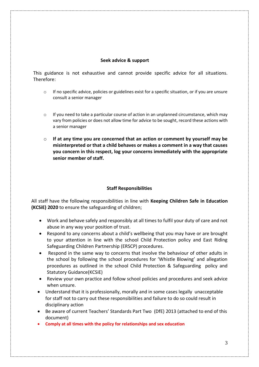## **Seek advice & support**

This guidance is not exhaustive and cannot provide specific advice for all situations. Therefore:

- o If no specific advice, policies or guidelines exist for a specific situation, or if you are unsure consult a senior manager
- $\circ$  If you need to take a particular course of action in an unplanned circumstance, which may vary from policies or does not allow time for advice to be sought, record these actions with a senior manager
- o **If at any time you are concerned that an action or comment by yourself may be misinterpreted or that a child behaves or makes a comment in a way that causes you concern in this respect, log your concerns immediately with the appropriate senior member of staff.**

# **Staff Responsibilities**

All staff have the following responsibilities in line with **Keeping Children Safe in Education (KCSiE) 2020** to ensure the safeguarding of children;

- Work and behave safely and responsibly at all times to fulfil your duty of care and not abuse in any way your position of trust.
- Respond to any concerns about a child's wellbeing that you may have or are brought to your attention in line with the school Child Protection policy and East Riding Safeguarding Children Partnership (ERSCP) procedures.
- Respond in the same way to concerns that involve the behaviour of other adults in the school by following the school procedures for 'Whistle Blowing' and allegation procedures as outlined in the school Child Protection & Safeguarding policy and Statutory Guidance(KCSiE)
- Review your own practice and follow school policies and procedures and seek advice when unsure.
- Understand that it is professionally, morally and in some cases legally unacceptable for staff not to carry out these responsibilities and failure to do so could result in disciplinary action
- Be aware of current Teachers' Standards Part Two (DfE) 2013 (attached to end of this document)
- **Comply at all times with the policy for relationships and sex education**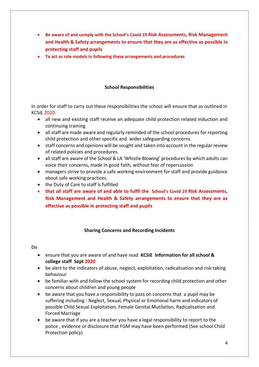- **Be aware of and comply with the School's Covid 19 Risk Assessments, Risk Management and Health & Safety arrangements to ensure that they are as effective as possible in protecting staff and pupils**
- **To act as role models in following these arrangements and procedures**

# **School Responsibilities**

In order for staff to carry out these responsibilities the school will ensure that as outlined in KCSiE 2020:

- all new and existing staff receive an adequate child protection related induction and continuing training
- all staff are made aware and regularly reminded of the school procedures for reporting child protection and other specific and wider safeguarding concerns
- staff concerns and opinions will be sought and taken into account in the regular review of related policies and procedures.
- all staff are aware of the School & LA 'Whistle Blowing' procedures by which adults can voice their concerns, made in good faith, without fear of repercussion
- managers strive to provide a safe working environment for staff and provide guidance about safe working practices.
- the Duty of Care to staff is fulfilled
- **that all staff are aware of and able to fulfil the School's Covid 19 Risk Assessments, Risk Management and Health & Safety arrangements to ensure that they are as effective as possible in protecting staff and pupils**

# **Sharing Concerns and Recording Incidents**

- ensure that you are aware of and have read **KCSiE Information for all school & college staff Sept 2020**
- be alert to the indicators of abuse, neglect, exploitation, radicalisation and risk taking behaviour
- be familiar with and follow the school system for recording child protection and other concerns about children and young people
- be aware that you have a responsibility to pass on concerns that a pupil may be suffering including : Neglect, Sexual, Physical or Emotional harm and indicators of possible Child Sexual Exploitation, Female Genital Mutilation, Radicalisation and Forced Marriage
- be aware that if you are a teacher you have a legal responsibility to report to the police , evidence or disclosure that FGM may have been performed (See school Child Protection policy)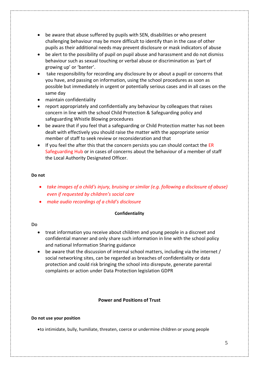- be aware that abuse suffered by pupils with SEN, disabilities or who present challenging behaviour may be more difficult to identify than in the case of other pupils as their additional needs may prevent disclosure or mask indicators of abuse
- be alert to the possibility of pupil on pupil abuse and harassment and do not dismiss behaviour such as sexual touching or verbal abuse or discrimination as 'part of growing up' or 'banter'.
- take responsibility for recording any disclosure by or about a pupil or concerns that you have, and passing on information, using the school procedures as soon as possible but immediately in urgent or potentially serious cases and in all cases on the same day
- maintain confidentiality
- report appropriately and confidentially any behaviour by colleagues that raises concern in line with the school Child Protection & Safeguarding policy and safeguarding Whistle Blowing procedures
- be aware that if you feel that a safeguarding or Child Protection matter has not been dealt with effectively you should raise the matter with the appropriate senior member of staff to seek review or reconsideration and that
- If you feel the after this that the concern persists you can should contact the ER Safeguarding Hub or in cases of concerns about the behaviour of a member of staff the Local Authority Designated Officer.

## **Do not**

- *take images of a child's injury, bruising or similar (e.g. following a disclosure of abuse) even if requested by children's social care*
- *make audio recordings of a child's disclosure*

## **Confidentiality**

## **Do**

- treat information you receive about children and young people in a discreet and confidential manner and only share such information in line with the school policy and national Information Sharing guidance
- be aware that the discussion of internal school matters, including via the internet / social networking sites, can be regarded as breaches of confidentiality or data protection and could risk bringing the school into disrepute, generate parental complaints or action under Data Protection legislation GDPR

# **Power and Positions of Trust**

## **Do not use your position**

•to intimidate, bully, humiliate, threaten, coerce or undermine children or young people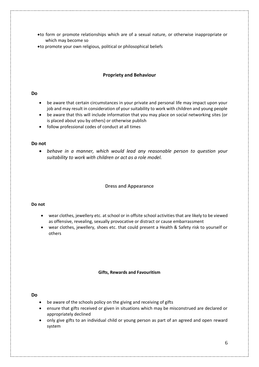- •to form or promote relationships which are of a sexual nature, or otherwise inappropriate or which may become so
- •to promote your own religious, political or philosophical beliefs

## **Propriety and Behaviour**

## **Do**

- be aware that certain circumstances in your private and personal life may impact upon your job and may result in consideration of your suitability to work with children and young people
- be aware that this will include information that you may place on social networking sites (or is placed about you by others) or otherwise publish
- follow professional codes of conduct at all times

#### **Do not**

• *behave in a manner, which would lead any reasonable person to question your suitability to work with children or act as a role model.*

#### **Dress and Appearance**

#### **Do not**

- wear clothes, jewellery etc. at school or in offsite school activities that are likely to be viewed as offensive, revealing, sexually provocative or distract or cause embarrassment
- wear clothes, jewellery, shoes etc. that could present a Health & Safety risk to yourself or others

#### **Gifts, Rewards and Favouritism**

- be aware of the schools policy on the giving and receiving of gifts
- ensure that gifts received or given in situations which may be misconstrued are declared or appropriately declined
- only give gifts to an individual child or young person as part of an agreed and open reward system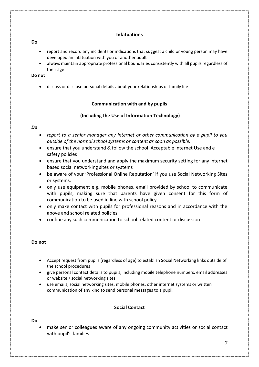# **Infatuations**

## **Do**

- report and record any incidents or indications that suggest a child or young person may have developed an infatuation with you or another adult
- always maintain appropriate professional boundaries consistently with all pupils regardless of their age

# **Do not**

• discuss or disclose personal details about your relationships or family life

# **Communication with and by pupils**

## **(Including the Use of Information Technology)**

## *Do*

- *report to a senior manager any internet or other communication by a pupil to you outside of the normal school systems or content as soon as possible.*
- ensure that you understand & follow the school 'Acceptable Internet Use and e safety policies
- ensure that you understand and apply the maximum security setting for any internet based social networking sites or systems
- be aware of your 'Professional Online Reputation' if you use Social Networking Sites or systems.
- only use equipment e.g. mobile phones, email provided by school to communicate with pupils, making sure that parents have given consent for this form of communication to be used in line with school policy
- only make contact with pupils for professional reasons and in accordance with the above and school related policies
- confine any such communication to school related content or discussion

## **Do not**

- Accept request from pupils (regardless of age) to establish Social Networking links outside of the school procedures
- give personal contact details to pupils, including mobile telephone numbers, email addresses or website / social networking sites
- use emails, social networking sites, mobile phones, other internet systems or written communication of any kind to send personal messages to a pupil.

# **Social Contact**

# **Do**

• make senior colleagues aware of any ongoing community activities or social contact with pupil's families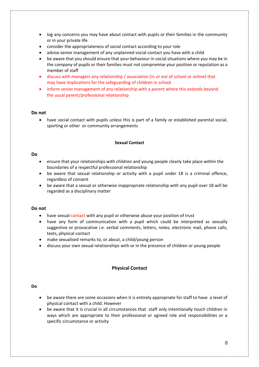- log any concerns you may have about contact with pupils or their families in the community or in your private life
- consider the appropriateness of social contact according to your role
- advise senior management of any unplanned social contact you have with a child
- be aware that you should ensure that your behaviour in social situations where you may be in the company of pupils or their families must not compromise your position or reputation as a member of staff
- discuss with managers any relationship / association (in or out of school or online) that may have implications for the safeguarding of children in school
- inform senior management of any relationship with a parent where this extends beyond the usual parent/professional relationship

#### **Do not**

• have social contact with pupils unless this is part of a family or established parental social, sporting or other or community arrangements

#### **Sexual Contact**

#### **Do**

- ensure that your relationships with children and young people clearly take place within the boundaries of a respectful professional relationship
- be aware that sexual relationship or activity with a pupil under 18 is a criminal offence, regardless of consent
- be aware that a sexual or otherwise inappropriate relationship with any pupil over 18 will be regarded as a disciplinary matter

#### **Do not**

- have sexual contact with any pupil or otherwise abuse your position of trust
- have any form of communication with a pupil which could be interpreted as sexually suggestive or provocative i.e. verbal comments, letters, notes, electronic mail, phone calls, texts, physical contact
- make sexualised remarks to, or about, a child/young person
- discuss your own sexual relationships with or in the presence of children or young people

## **Physical Contact**

- be aware there are some occasions when it is entirely appropriate for staff to have a level of physical contact with a child. However
- be aware that it is crucial in all circumstances that staff only intentionally touch children in ways which are appropriate to their professional or agreed role and responsibilities or a specific circumstance or activity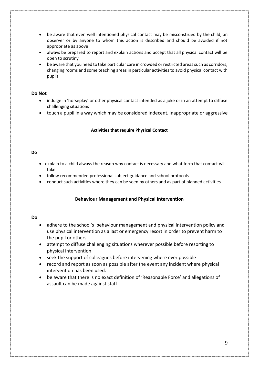- be aware that even well intentioned physical contact may be misconstrued by the child, an observer or by anyone to whom this action is described and should be avoided if not appropriate as above
- always be prepared to report and explain actions and accept that all physical contact will be open to scrutiny
- be aware that you need to take particular care in crowded or restricted areas such as corridors, changing rooms and some teaching areas in particular activities to avoid physical contact with pupils

## **Do Not**

- indulge in 'horseplay' or other physical contact intended as a joke or in an attempt to diffuse challenging situations
- touch a pupil in a way which may be considered indecent, inappropriate or aggressive

#### **Activities that require Physical Contact**

#### **Do**

- explain to a child always the reason why contact is necessary and what form that contact will take
- follow recommended professional subject guidance and school protocols
- conduct such activities where they can be seen by others and as part of planned activities

## **Behaviour Management and Physical Intervention**

- adhere to the school's behaviour management and physical intervention policy and use physical intervention as a last or emergency resort in order to prevent harm to the pupil or others
- attempt to diffuse challenging situations wherever possible before resorting to physical intervention
- seek the support of colleagues before intervening where ever possible
- record and report as soon as possible after the event any incident where physical intervention has been used.
- be aware that there is no exact definition of 'Reasonable Force' and allegations of assault can be made against staff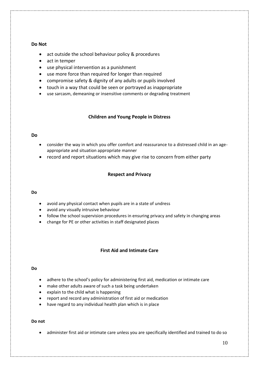## **Do Not**

- act outside the school behaviour policy & procedures
- act in temper
- use physical intervention as a punishment
- use more force than required for longer than required
- compromise safety & dignity of any adults or pupils involved
- touch in a way that could be seen or portrayed as inappropriate
- use sarcasm, demeaning or insensitive comments or degrading treatment

## **Children and Young People in Distress**

## **Do**

- consider the way in which you offer comfort and reassurance to a distressed child in an ageappropriate and situation appropriate manner
- record and report situations which may give rise to concern from either party

## **Respect and Privacy**

#### **Do**

- avoid any physical contact when pupils are in a state of undress
- avoid any visually intrusive behaviour
- follow the school supervision procedures in ensuring privacy and safety in changing areas
- change for PE or other activities in staff designated places

## **First Aid and Intimate Care**

#### **Do**

- adhere to the school's policy for administering first aid, medication or intimate care
- make other adults aware of such a task being undertaken
- explain to the child what is happening
- report and record any administration of first aid or medication
- have regard to any individual health plan which is in place

#### **Do not**

• administer first aid or intimate care unless you are specifically identified and trained to do so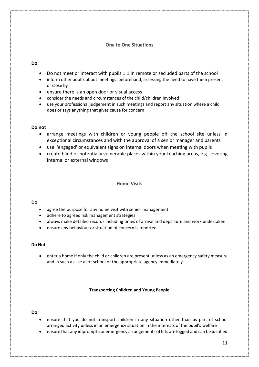# **One to One Situations**

## **Do**

- Do not meet or interact with pupils 1:1 in remote or secluded parts of the school
- inform other adults about meetings beforehand, assessing the need to have them present or close by
- ensure there is an open door or visual access
- consider the needs and circumstances of the child/children involved
- use your professional judgement in such meetings and report any situation where a child does or says anything that gives cause for concern

## **Do not**

- arrange meetings with children or young people off the school site unless in exceptional circumstances and with the approval of a senior manager and parents
- use 'engaged' or equivalent signs on internal doors when meeting with pupils
- create blind or potentially vulnerable places within your teaching areas, e.g. covering internal or external windows

## **Home Visits**

## **Do**

- agree the purpose for any home visit with senior management
- adhere to agreed risk management strategies
- always make detailed records including times of arrival and departure and work undertaken
- ensure any behaviour or situation of concern is reported

## **Do Not**

enter a home if only the child or children are present unless as an emergency safety measure and in such a case alert school or the appropriate agency immediately

## **Transporting Children and Young People**

- ensure that you do not transport children in any situation other than as part of school arranged activity unless in an emergency situation in the interests of the pupil's welfare
- ensure that any impromptu or emergency arrangements of lifts are logged and can be justified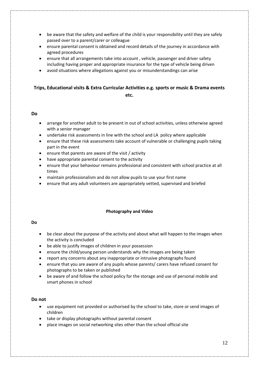- be aware that the safety and welfare of the child is your responsibility until they are safely passed over to a parent/carer or colleague
- ensure parental consent is obtained and record details of the journey in accordance with agreed procedures
- ensure that all arrangements take into account , vehicle, passenger and driver safety including having proper and appropriate insurance for the type of vehicle being driven
- avoid situations where allegations against you or misunderstandings can arise

# **Trips, Educational visits & Extra Curricular Activities e.g. sports or music & Drama events etc.**

## **Do**

- arrange for another adult to be present in out of school activities, unless otherwise agreed with a senior manager
- undertake risk assessments in line with the school and LA policy where applicable
- ensure that these risk assessments take account of vulnerable or challenging pupils taking part in the event
- ensure that parents are aware of the visit / activity
- have appropriate parental consent to the activity
- ensure that your behaviour remains professional and consistent with school practice at all times
- maintain professionalism and do not allow pupils to use your first name
- ensure that any adult volunteers are appropriately vetted, supervised and briefed

#### **Photography and Video**

#### **Do**

- be clear about the purpose of the activity and about what will happen to the images when the activity is concluded
- be able to justify images of children in your possession
- ensure the child/young person understands why the images are being taken
- report any concerns about any inappropriate or intrusive photographs found
- ensure that you are aware of any pupils whose parents/ carers have refused consent for photographs to be taken or published
- be aware of and follow the school policy for the storage and use of personal mobile and smart phones in school

#### **Do not**

- use equipment not provided or authorised by the school to take, store or send images of children
- take or display photographs without parental consent
- place images on social networking sites other than the school official site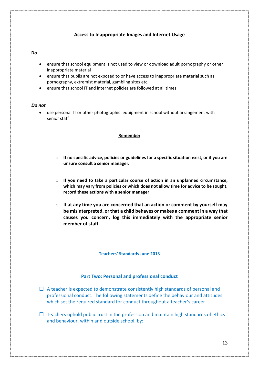# **Access to Inappropriate Images and Internet Usage**

#### **Do**

- ensure that school equipment is not used to view or download adult pornography or other inappropriate material
- ensure that pupils are not exposed to or have access to inappropriate material such as pornography, extremist material, gambling sites etc.
- ensure that school IT and internet policies are followed at all times

#### *Do not*

• use personal IT or other photographic equipment in school without arrangement with senior staff

#### **Remember**

- o **If no specific advice, policies or guidelines for a specific situation exist, or if you are unsure consult a senior manager.**
- o **If you need to take a particular course of action in an unplanned circumstance, which may vary from policies or which does not allow time for advice to be sought, record these actions with a senior manager**
- o **If at any time you are concerned that an action or comment by yourself may be misinterpreted, or that a child behaves or makes a comment in a way that causes you concern, log this immediately with the appropriate senior member of staff.**

#### **Teachers' Standards June 2013**

#### **Part Two: Personal and professional conduct**

- $\Box$  A teacher is expected to demonstrate consistently high standards of personal and professional conduct. The following statements define the behaviour and attitudes which set the required standard for conduct throughout a teacher's career
- $\Box$  Teachers uphold public trust in the profession and maintain high standards of ethics and behaviour, within and outside school, by: